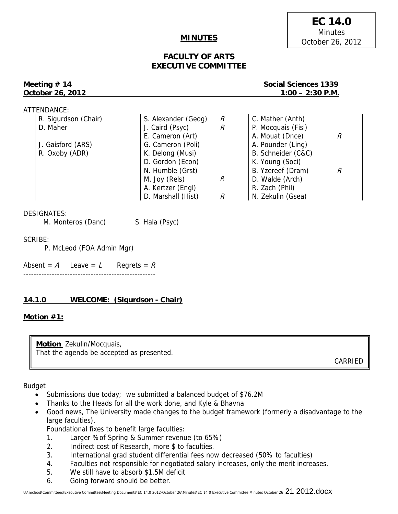## **MINUTES**

# **EC 14.0 Minutes** October 26, 2012

# **FACULTY OF ARTS EXECUTIVE COMMITTEE**

# **October 26, 2012 1:00 – 2:30 P.M.**

**Meeting # 14** Social Sciences 1339

| ATTENDANCE:          |                     |               |                    |   |
|----------------------|---------------------|---------------|--------------------|---|
| R. Sigurdson (Chair) | S. Alexander (Geog) | R             | C. Mather (Anth)   |   |
| D. Maher             | J. Caird (Psyc)     | $\mathcal{R}$ | P. Mocquais (Fisl) |   |
|                      | E. Cameron (Art)    |               | A. Mouat (Dnce)    |   |
| J. Gaisford (ARS)    | G. Cameron (Poli)   |               | A. Pounder (Ling)  |   |
| R. Oxoby (ADR)       | K. Delong (Musi)    |               | B. Schneider (C&C) |   |
|                      | D. Gordon (Econ)    |               | K. Young (Soci)    |   |
|                      | N. Humble (Grst)    |               | B. Yzereef (Dram)  | R |
|                      | M. Joy (Rels)       | R             | D. Walde (Arch)    |   |
|                      | A. Kertzer (Engl)   |               | R. Zach (Phil)     |   |
|                      | D. Marshall (Hist)  | R             | N. Zekulin (Gsea)  |   |
|                      |                     |               |                    |   |

DESIGNATES:

M. Monteros (Danc) S. Hala (Psyc)

SCRIBE:

P. McLeod (FOA Admin Mgr)

Absent =  $A$  Leave =  $L$  Regrets =  $R$ ---------------------------------------------------

# **14.1.0 WELCOME: (Sigurdson - Chair)**

## **Motion #1:**

**Motion** Zekulin/Mocquais, That the agenda be accepted as presented.

CARRIED

Budget

- Submissions due today; we submitted a balanced budget of \$76.2M
- Thanks to the Heads for all the work done, and Kyle & Bhavna
- Good news, The University made changes to the budget framework (formerly a disadvantage to the large faculties).

Foundational fixes to benefit large faculties:

- 1. Larger %of Spring & Summer revenue (to 65%)
- 2. Indirect cost of Research, more \$ to faculties.
- 3. International grad student differential fees now decreased (50% to faculties)
- 4. Faculties not responsible for negotiated salary increases, only the merit increases.
- 5. We still have to absorb \$1.5M deficit
- 6. Going forward should be better.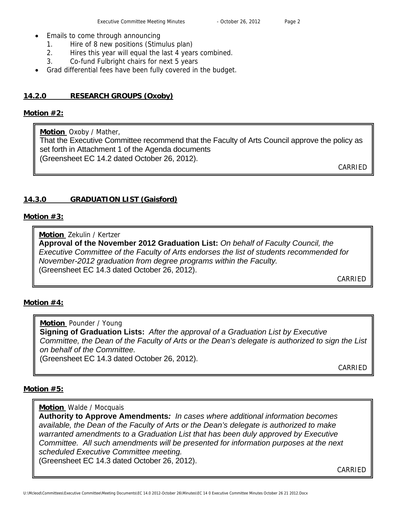- Emails to come through announcing
	- 1. Hire of 8 new positions (Stimulus plan)
	- 2. Hires this year will equal the last 4 years combined.
	- 3. Co-fund Fulbright chairs for next 5 years
- Grad differential fees have been fully covered in the budget.

## **14.2.0 RESEARCH GROUPS (Oxoby)**

#### **Motion #2:**

**Motion** Oxoby / Mather,

That the Executive Committee recommend that the Faculty of Arts Council approve the policy as set forth in Attachment 1 of the Agenda documents (Greensheet EC 14.2 dated October 26, 2012).

CARRIED

## **14.3.0 GRADUATION LIST (Gaisford)**

## **Motion #3:**

**Motion** Zekulin / Kertzer

**Approval of the November 2012 Graduation List:** *On behalf of Faculty Council, the Executive Committee of the Faculty of Arts endorses the list of students recommended for November-2012 graduation from degree programs within the Faculty.*  (Greensheet EC 14.3 dated October 26, 2012).

CARRIED

## **Motion #4:**

**Motion** Pounder / Young **Signing of Graduation Lists:** *After the approval of a Graduation List by Executive Committee, the Dean of the Faculty of Arts or the Dean's delegate is authorized to sign the List on behalf of the Committee.*  (Greensheet EC 14.3 dated October 26, 2012).

CARRIED

## **Motion #5:**

**Motion** Walde / Mocquais

**Authority to Approve Amendments***: In cases where additional information becomes available, the Dean of the Faculty of Arts or the Dean's delegate is authorized to make warranted amendments to a Graduation List that has been duly approved by Executive Committee. All such amendments will be presented for information purposes at the next scheduled Executive Committee meeting.*  (Greensheet EC 14.3 dated October 26, 2012).

CARRIED